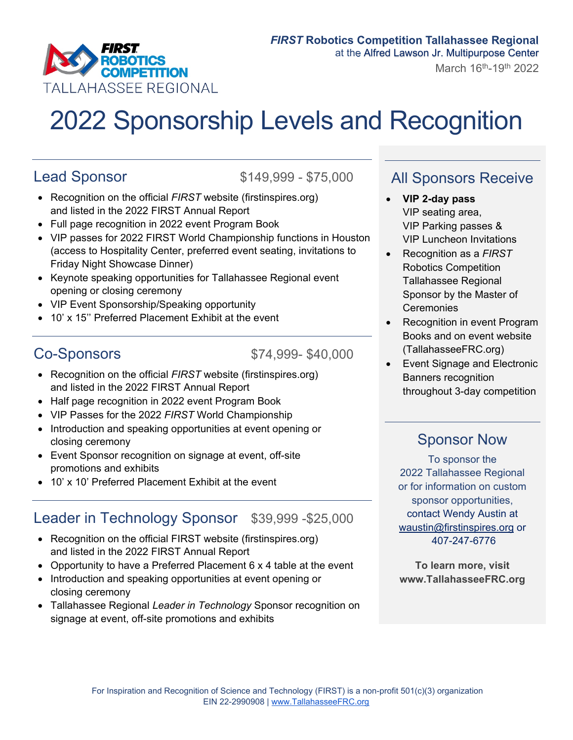

# 2022 Sponsorship Levels and Recognition

Lead Sponsor \$149,999 - \$75,000

- Recognition on the official *FIRST* website (firstinspires.org) and listed in the 2022 FIRST Annual Report
- Full page recognition in 2022 event Program Book
- VIP passes for 2022 FIRST World Championship functions in Houston (access to Hospitality Center, preferred event seating, invitations to Friday Night Showcase Dinner)
- Keynote speaking opportunities for Tallahassee Regional event opening or closing ceremony
- VIP Event Sponsorship/Speaking opportunity
- 10' x 15'' Preferred Placement Exhibit at the event

Co-Sponsors \$74,999- \$40,000

- Recognition on the official *FIRST* website (firstinspires.org) and listed in the 2022 FIRST Annual Report
- Half page recognition in 2022 event Program Book
- VIP Passes for the 2022 *FIRST* World Championship
- Introduction and speaking opportunities at event opening or closing ceremony
- Event Sponsor recognition on signage at event, off-site promotions and exhibits
- 10' x 10' Preferred Placement Exhibit at the event

#### Leader in Technology Sponsor \$39,999 -\$25,000

- Recognition on the official FIRST website (firstinspires.org) and listed in the 2022 FIRST Annual Report
- Opportunity to have a Preferred Placement 6 x 4 table at the event
- Introduction and speaking opportunities at event opening or closing ceremony
- Tallahassee Regional *Leader in Technology* Sponsor recognition on signage at event, off-site promotions and exhibits

#### All Sponsors Receive

- **VIP 2-day pass** VIP seating area, VIP Parking passes & VIP Luncheon Invitations
- Recognition as a *FIRST* Robotics Competition Tallahassee Regional Sponsor by the Master of **Ceremonies**
- Recognition in event Program Books and on event website (TallahasseeFRC.org)
- Event Signage and Electronic Banners recognition throughout 3-day competition

#### Sponsor Now

To sponsor the 2022 Tallahassee Regional or for information on custom sponsor opportunities, contact Wendy Austin at waustin@firstinspires.org or 407-247-6776

**To learn more, visit www.TallahasseeFRC.org**